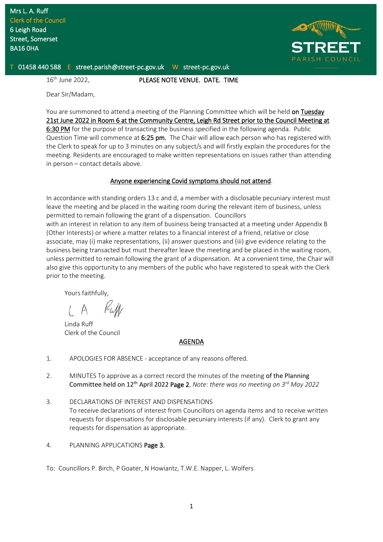

T 01458 440 588 E street.parish@street-pc.gov.uk W street-pc.gov.uk

16<sup>th</sup> June 2022,

PLEASE NOTE VENUE. DATE. TIME

Dear Sir/Madam,

You are summoned to attend a meeting of the Planning Committee which will be held on Tuesday 21st June 2022 in Room 6 at the Community Centre, Leigh Rd Street prior to the Council Meeting at 6:30 PM for the purpose of transacting the business specified in the following agenda. Public Question Time will commence at 6:25 pm. The Chair will allow each person who has registered with the Clerk to speak for up to 3 minutes on any subject/s and will firstly explain the procedures for the meeting. Residents are encouraged to make written representations on issues rather than attending in person – contact details above.

## Anyone experiencing Covid symptoms should not attend.

In accordance with standing orders 13 c and d, a member with a disclosable pecuniary interest must leave the meeting and be placed in the waiting room during the relevant item of business, unless permitted to remain following the grant of a dispensation. Councillors with an interest in relation to any item of business being transacted at a meeting under Appendix B (Other Interests) or where a matter relates to a financial interest of a friend, relative or close associate, may (i) make representations, (ii) answer questions and (iii) give evidence relating to the business being transacted but must thereafter leave the meeting and be placed in the waiting room, unless permitted to remain following the grant of a dispensation. At a convenient time, the Chair will also give this opportunity to any members of the public who have registered to speak with the Clerk prior to the meeting.

Yours faithfully,

Linda Ruff Clerk of the Council

## AGENDA

- 1. APOLOGIES FOR ABSENCE acceptance of any reasons offered.
- 2. MINUTES To approve as a correct record the minutes of the meeting of the Planning Committee held on 12th April 2022 Page 2. *Note: there was no meeting on 3rd May 2022*
- 3. DECLARATIONS OF INTEREST AND DISPENSATIONS To receive declarations of interest from Councillors on agenda items and to receive written requests for dispensations for disclosable pecuniary interests (if any). Clerk to grant any requests for dispensation as appropriate.
- 4. PLANNING APPLICATIONS Page 3.

To: Councillors P. Birch, P Goater, N Howiantz, T.W.E. Napper, L. Wolfers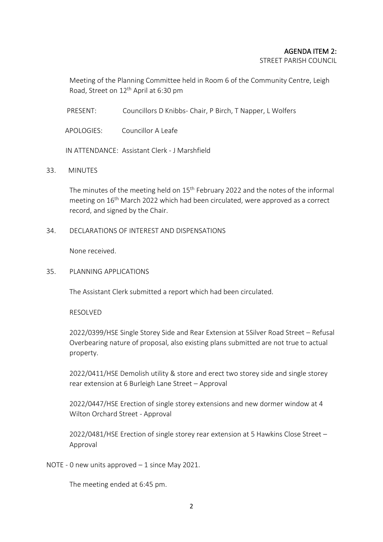## AGENDA ITEM 2:

STREET PARISH COUNCIL

Meeting of the Planning Committee held in Room 6 of the Community Centre, Leigh Road, Street on 12<sup>th</sup> April at 6:30 pm

PRESENT: Councillors D Knibbs- Chair, P Birch, T Napper, L Wolfers

APOLOGIES: Councillor A Leafe

IN ATTENDANCE: Assistant Clerk - J Marshfield

33. MINUTES

The minutes of the meeting held on 15<sup>th</sup> February 2022 and the notes of the informal meeting on 16th March 2022 which had been circulated, were approved as a correct record, and signed by the Chair.

34. DECLARATIONS OF INTEREST AND DISPENSATIONS

None received.

35. PLANNING APPLICATIONS

The Assistant Clerk submitted a report which had been circulated.

RESOLVED

2022/0399/HSE Single Storey Side and Rear Extension at 5Silver Road Street – Refusal Overbearing nature of proposal, also existing plans submitted are not true to actual property.

2022/0411/HSE Demolish utility & store and erect two storey side and single storey rear extension at 6 Burleigh Lane Street – Approval

2022/0447/HSE Erection of single storey extensions and new dormer window at 4 Wilton Orchard Street - Approval

2022/0481/HSE Erection of single storey rear extension at 5 Hawkins Close Street – Approval

NOTE - 0 new units approved – 1 since May 2021.

The meeting ended at 6:45 pm.